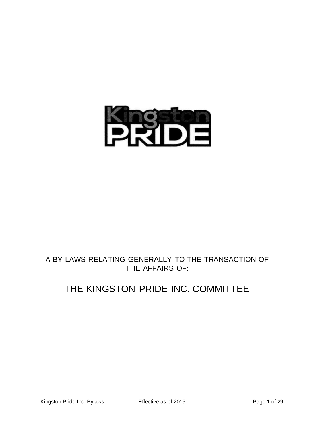

# A BY-LAWS RELATING GENERALLY TO THE TRANSACTION OF THE AFFAIRS OF:

# THE KINGSTON PRIDE INC. COMMITTEE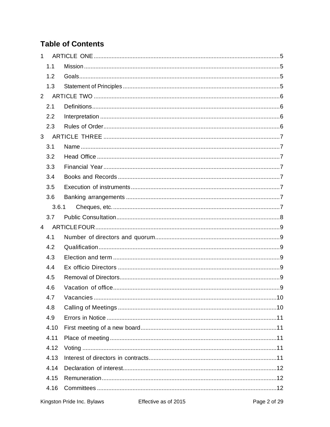# **Table of Contents**

| $\mathbf{1}$   |       |  |  |  |  |  |
|----------------|-------|--|--|--|--|--|
|                | 1.1   |  |  |  |  |  |
|                | 1.2   |  |  |  |  |  |
|                | 1.3   |  |  |  |  |  |
| $\overline{2}$ |       |  |  |  |  |  |
|                | 2.1   |  |  |  |  |  |
|                | 2.2   |  |  |  |  |  |
|                | 2.3   |  |  |  |  |  |
| 3              |       |  |  |  |  |  |
|                | 3.1   |  |  |  |  |  |
|                | 3.2   |  |  |  |  |  |
|                | 3.3   |  |  |  |  |  |
|                | 3.4   |  |  |  |  |  |
|                | 3.5   |  |  |  |  |  |
|                | 3.6   |  |  |  |  |  |
|                | 3.6.1 |  |  |  |  |  |
|                | 3.7   |  |  |  |  |  |
| $\overline{4}$ |       |  |  |  |  |  |
|                | 4.1   |  |  |  |  |  |
|                | 4.2   |  |  |  |  |  |
|                | 4.3   |  |  |  |  |  |
|                | 4.4   |  |  |  |  |  |
|                | 4.5   |  |  |  |  |  |
|                | 4.6   |  |  |  |  |  |
|                | 4.7   |  |  |  |  |  |
|                | 4.8   |  |  |  |  |  |
|                | 4.9   |  |  |  |  |  |
|                | 4.10  |  |  |  |  |  |
|                | 4.11  |  |  |  |  |  |
|                | 4.12  |  |  |  |  |  |
|                | 4.13  |  |  |  |  |  |
|                | 4.14  |  |  |  |  |  |
|                | 4.15  |  |  |  |  |  |
|                | 4.16  |  |  |  |  |  |
|                |       |  |  |  |  |  |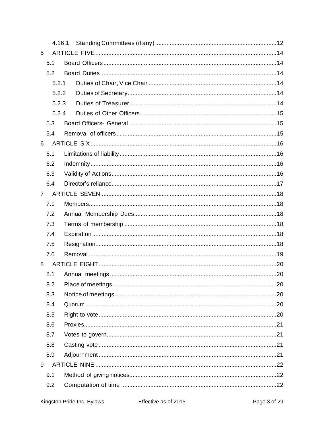|                | 4.16.1         |  |  |
|----------------|----------------|--|--|
| 5              |                |  |  |
|                | 5.1            |  |  |
|                | 5.2            |  |  |
|                | 5.2.1          |  |  |
|                | 5.2.2<br>5.2.3 |  |  |
|                |                |  |  |
|                | 5.2.4          |  |  |
| 5.3            |                |  |  |
|                | 5.4            |  |  |
| 6              |                |  |  |
|                | 6.1            |  |  |
|                | 6.2            |  |  |
|                | 6.3            |  |  |
|                | 6.4            |  |  |
| $\overline{7}$ |                |  |  |
|                | 7.1            |  |  |
|                | 7.2            |  |  |
|                | 7.3            |  |  |
|                | 7.4            |  |  |
|                | 7.5            |  |  |
|                | 7.6            |  |  |
| 8              |                |  |  |
|                | 8.1            |  |  |
|                | 8.2            |  |  |
|                | 8.3            |  |  |
|                | 8.4            |  |  |
|                | 8.5            |  |  |
|                | 8.6            |  |  |
|                | 8.7            |  |  |
|                | 8.8            |  |  |
|                | 8.9            |  |  |
| 9              |                |  |  |
|                | 9.1            |  |  |
|                | 9.2            |  |  |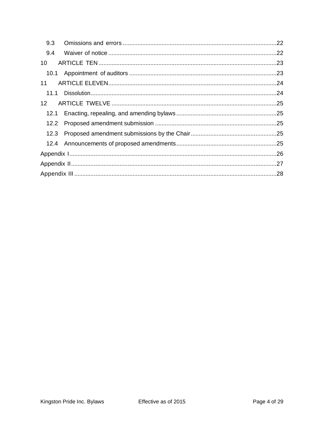| 9.3               |  |  |  |  |  |
|-------------------|--|--|--|--|--|
| 9.4               |  |  |  |  |  |
| 10                |  |  |  |  |  |
| 10.1              |  |  |  |  |  |
| 11                |  |  |  |  |  |
| 11.1              |  |  |  |  |  |
| $12 \overline{ }$ |  |  |  |  |  |
| 12.1              |  |  |  |  |  |
|                   |  |  |  |  |  |
| 12.3              |  |  |  |  |  |
|                   |  |  |  |  |  |
|                   |  |  |  |  |  |
|                   |  |  |  |  |  |
|                   |  |  |  |  |  |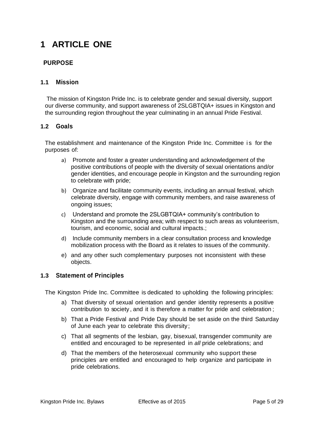# <span id="page-4-0"></span>**1 ARTICLE ONE**

## **PURPOSE**

## <span id="page-4-1"></span>**1.1 Mission**

The mission of Kingston Pride Inc. is to celebrate gender and sexual diversity, support our diverse community, and support awareness of 2SLGBTQIA+ issues in Kingston and the surrounding region throughout the year culminating in an annual Pride Festival.

#### <span id="page-4-2"></span>**1.2 Goals**

The establishment and maintenance of the Kingston Pride Inc. Committee i s for the purposes of:

- a) Promote and foster a greater understanding and acknowledgement of the positive contributions of people with the diversity of sexual orientations and/or gender identities, and encourage people in Kingston and the surrounding region to celebrate with pride;
- b) Organize and facilitate community events, including an annual festival, which celebrate diversity, engage with community members, and raise awareness of ongoing issues;
- c) Understand and promote the 2SLGBTQIA+ community's contribution to Kingston and the surrounding area; with respect to such areas as volunteerism, tourism, and economic, social and cultural impacts.;
- d) Include community members in a clear consultation process and knowledge mobilization process with the Board as it relates to issues of the community.
- e) and any other such complementary purposes not inconsistent with these objects.

#### <span id="page-4-3"></span>**1.3 Statement of Principles**

The Kingston Pride Inc. Committee is dedicated to upholding the following principles:

- a) That diversity of sexual orientation and gender identity represents a positive contribution to society , and it is therefore a matter for pride and celebration ;
- b) That a Pride Festival and Pride Day should be set aside on the third Saturday of June each year to celebrate this diversity;
- c) That all segments of the lesbian, gay, bisexual, transgender community are entitled and encouraged to be represented in *all* pride celebrations; and
- d) That the members of the heterosexual community who support these principles are entitled and encouraged to help organize and participate in pride celebrations.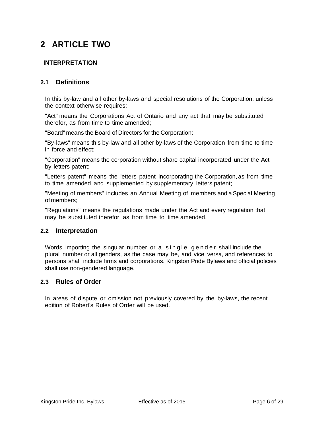# <span id="page-5-0"></span>**2 ARTICLE TWO**

## **INTERPRETATION**

## <span id="page-5-1"></span>**2.1 Definitions**

In this by-law and all other by-laws and special resolutions of the Corporation, unless the context otherwise requires:

"Act" means the Corporations Act of Ontario and any act that may be substituted therefor, as from time to time amended;

"Board" means the Board of Directors for the Corporation:

"By-laws" means this by-law and all other by-laws of the Corporation from time to time in force and effect;

"Corporation" means the corporation without share capital incorporated under the Act by letters patent;

"Letters patent" means the letters patent incorporating the Corporation,as from time to time amended and supplemented by supplementary letters patent;

"Meeting of members" includes an Annual Meeting of members and a Special Meeting of members;

"Regulations" means the regulations made under the Act and every regulation that may be substituted therefor, as from time to time amended.

#### <span id="page-5-2"></span>**2.2 Interpretation**

Words importing the singular number or a single gender shall include the plural number or all genders, as the case may be, and vice versa, and references to persons shall include firms and corporations. Kingston Pride Bylaws and official policies shall use non-gendered language.

## <span id="page-5-3"></span>**2.3 Rules of Order**

In areas of dispute or omission not previously covered by the by-laws, the recent edition of Robert's Rules of Order will be used.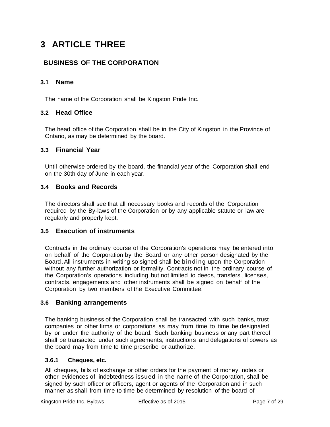# <span id="page-6-0"></span>**3 ARTICLE THREE**

# **BUSINESS OF THE CORPORATION**

## <span id="page-6-1"></span>**3.1 Name**

The name of the Corporation shall be Kingston Pride Inc.

## <span id="page-6-2"></span>**3.2 Head Office**

The head office of the Corporation shall be in the City of Kingston in the Province of Ontario, as may be determined by the board.

## <span id="page-6-3"></span>**3.3 Financial Year**

Until otherwise ordered by the board, the financial year of the Corporation shall end on the 30th day of June in each year.

## <span id="page-6-4"></span>**3.4 Books and Records**

The directors shall see that all necessary books and records of the Corporation required by the By-laws of the Corporation or by any applicable statute or law are regularly and properly kept.

## <span id="page-6-5"></span>**3.5 Execution of instruments**

Contracts in the ordinary course of the Corporation's operations may be entered into on behalf of the Corporation by the Board or any other person designated by the Board.All instruments in writing so signed shall be binding upon the Corporation without any further authorization or formality. Contracts not in the ordinary course of the Corporation's operations including but not limited to deeds, transfers , licenses, contracts, engagements and other instruments shall be signed on behalf of the Corporation by two members of the Executive Committee.

## <span id="page-6-6"></span>**3.6 Banking arrangements**

The banking business of the Corporation shall be transacted with such banks, trust companies or other firms or corporations as may from time to time be designated by or under the authority of the board. Such banking business or any part thereof shall be transacted under such agreements, instructions and delegations of powers as the board may from time to time prescribe or authorize.

#### <span id="page-6-7"></span>**3.6.1 Cheques, etc.**

All cheques, bills of exchange or other orders for the payment of money, notes or other evidences of indebtedness issued in the name of the Corporation, shall be signed by such officer or officers, agent or agents of the Corporation and in such manner as shall from time to time be determined by resolution of the board of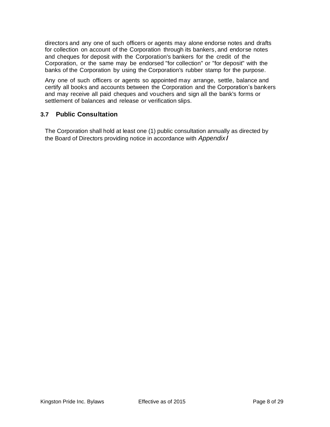directors and any one of such officers or agents may alone endorse notes and drafts for collection on account of the Corporation through its bankers, and endorse notes and cheques for deposit with the Corporation's bankers for the credit of the Corporation, or the same may be endorsed "for collection" or "for deposit" with the banks of the Corporation by using the Corporation's rubber stamp for the purpose.

Any one of such officers or agents so appointed may arrange, settle, balance and certify all books and accounts between the Corporation and the Corporation's bankers and may receive all paid cheques and vouchers and sign all the bank's forms or settlement of balances and release or verification slips.

## <span id="page-7-0"></span>**3.7 Public Consultation**

The Corporation shall hold at least one (1) public consultation annually as directed by the Board of Directors providing notice in accordance with *Appendix l*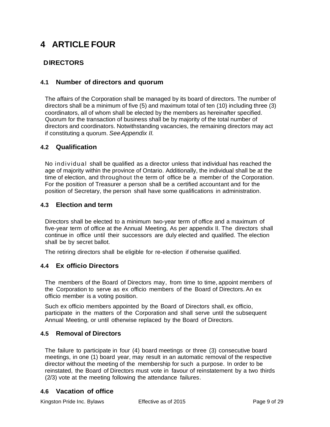# <span id="page-8-0"></span>**4 ARTICLE FOUR**

# **DlRECTORS**

## <span id="page-8-1"></span>**4.1 Number of directors and quorum**

The affairs of the Corporation shall be managed by its board of directors. The number of directors shall be a minimum of five (5) and maximum total of ten (10) including three (3) coordinators, all of whom shall be elected by the members as hereinafter specified. Quorum for the transaction of business shall be by majority of the total number of directors and coordinators. Notwithstanding vacancies, the remaining directors may act if constituting a quorum. *SeeAppendix II.*

## <span id="page-8-2"></span>**4.2 Qualification**

No ind ividual shall be qualified as a director unless that individual has reached the age of majority within the province of Ontario. Additionally, the individual shall be at the time of election, and throughout the term of office be a member of the Corporation. For the position of Treasurer a person shall be a certified accountant and for the position of Secretary, the person shall have some qualifications in administration.

## <span id="page-8-3"></span>**4.3 Election and term**

Directors shall be elected to a minimum two-year term of office and a maximum of five-year term of office at the Annual Meeting, As per appendix II. The directors shall continue in office until their successors are duly elected and qualified. The election shall be by secret ballot.

The retiring directors shall be eligible for re-election if otherwise qualified.

## <span id="page-8-4"></span>**4.4 Ex officio Directors**

The members of the Board of Directors may, from time to time, appoint members of the Corporation to serve as ex officio members of the Board of Directors. An ex officio member is a voting position.

Such ex officio members appointed by the Board of Directors shall, ex officio, participate in the matters of the Corporation and shall serve until the subsequent Annual Meeting, or until otherwise replaced by the Board of Directors.

## <span id="page-8-5"></span>**4.5 Removal of Directors**

The failure to participate in four (4) board meetings or three (3) consecutive board meetings, in one (1) board year, may result in an automatic removal of the respective director without the meeting of the membership for such a purpose. In order to be reinstated, the Board of Directors must vote in favour of reinstatement by a two thirds (2/3) vote at the meeting following the attendance failures.

## <span id="page-8-6"></span>**4.6 Vacation of office**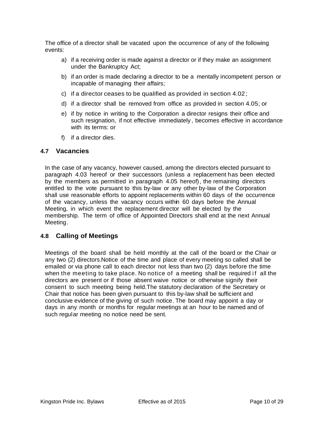The office of a director shall be vacated upon the occurrence of any of the following events:

- a) if a receiving order is made against a director or if they make an assignment under the Bankruptcy Act;
- b) if an order is made declaring a director to be a mentally incompetent person or incapable of managing their affairs;
- c) if a director ceases to be qualified as provided in section 4.02;
- d) if a director shall be removed from office as provided in section 4.05; or
- e) if by notice in writing to the Corporation a director resigns their office and such resignation, if not effective immediately , becomes effective in accordance with its terms: or
- f) if a director dies.

## <span id="page-9-0"></span>**4.7 Vacancies**

In the case of any vacancy, however caused, among the directors elected pursuant to paragraph 4.03 hereof or their successors (unless a replacement has been elected by the members as permitted in paragraph 4.05 hereof), the remaining directors entitled to the vote pursuant to this by-law or any other by-law of the Corporation shall use reasonable efforts to appoint replacements within 60 days of the occurrence of the vacancy, unless the vacancy occurs within 60 days before the Annual Meeting, in which event the replacement director will be elected by the membership. The term of office of Appointed Directors shall end at the next Annual Meeting.

## <span id="page-9-1"></span>**4.8 Calling of Meetings**

Meetings of the board shall be held monthly at the call of the board or the Chair or any two (2) directors.Notice of the time and place of every meeting so called shall be emailed or via phone call to each director not less than two (2) days before the time when the meeting to take place. No notice of a meeting shall be required if all the directors are present or if those absent waive notice or otherwise signify their consent to such meeting being held. The statutory declaration of the Secretary or Chair that notice has been given pursuant to this by-law shall be sufficient and conclusive evidence of the giving of such notice. The board may appoint a day or days in any month or months for regular meetings at an hour to be named and of such regular meeting no notice need be sent.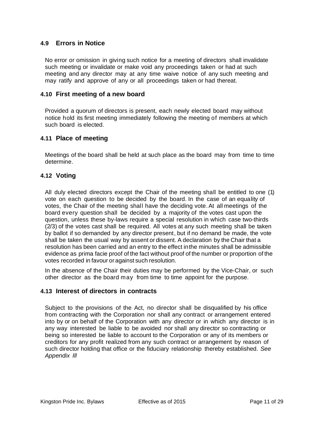## <span id="page-10-0"></span>**4.9 Errors in Notice**

No error or omission in giving such notice for a meeting of directors shall invalidate such meeting or invalidate or make void any proceedings taken or had at such meeting and any director may at any time waive notice of any such meeting and may ratify and approve of any or all proceedings taken or had thereat.

#### <span id="page-10-1"></span>**4.10 First meeting of a new board**

Provided a quorum of directors is present, each newly elected board may without notice hold its first meeting immediately following the meeting of members at which such board is elected.

#### <span id="page-10-2"></span>**4.11 Place of meeting**

Meetings of the board shall be held at such place as the board may from time to time determine.

## <span id="page-10-3"></span>**4.12 Voting**

All duly elected directors except the Chair of the meeting shall be entitled to one (1) vote on each question to be decided by the board. In the case of an equality of votes, the Chair of the meeting shall have the deciding vote.At all meetings of the board every question shall be decided by a majority of the votes cast upon the question, unless these by-laws require a special resolution in which case two-thirds (2/3) of the votes cast shall be required. All votes at any such meeting shall be taken by ballot if so demanded by any director present, but if no demand be made, the vote shall be taken the usual way by assent or dissent. A declaration by the Chair that a resolution has been carried and an entry to the effect inthe minutes shall be admissible evidence as prima facie proof of the fact without proof of the number or proportion of the votes recorded in favour or against such resolution.

In the absence of the Chair their duties may be performed by the Vice-Chair, or such other director as the board may from time to time appoint for the purpose.

#### <span id="page-10-4"></span>**4.13 Interest of directors in contracts**

Subject to the provisions of the Act, no director shall be disqualified by his office from contracting with the Corporation nor shall any contract or arrangement entered into by or on behalf of the Corporation with any director or in which any director is in any way interested be liable to be avoided nor shall any director so contracting or being so interested be liable to account to the Corporation or any of its members or creditors for any profit realized from any such contract or arrangement by reason of such director holding that office or the fiduciary relationship thereby established. *See Appendix Ill*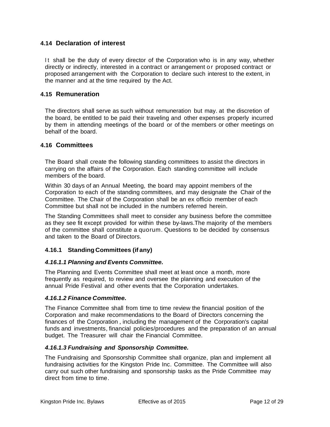## <span id="page-11-0"></span>**4.14 Declaration of interest**

It shall be the duty of every director of the Corporation who is in any way, whether directly or indirectly, interested in a contract or arrangement o r proposed contract or proposed arrangement with the Corporation to declare such interest to the extent, in the manner and at the time required by the Act.

## <span id="page-11-1"></span>**4.15 Remuneration**

The directors shall serve as such without remuneration but may. at the discretion of the board, be entitled to be paid their traveling and other expenses properly incurred by them in attending meetings of the board or of the members or other meetings on behalf of the board.

#### <span id="page-11-2"></span>**4.16 Committees**

The Board shall create the following standing committees to assist the directors in carrying on the affairs of the Corporation. Each standing committee will include members of the board.

Within 30 days of an Annual Meeting, the board may appoint members of the Corporation to each of the standing committees, and may designate the Chair of the Committee. The Chair of the Corporation shall be an ex officio member of each Committee but shall not be included in the numbers referred herein.

The Standing Committees shall meet to consider any business before the committee as they see fit except provided for within these by-laws. The majority of the members of the committee shall constitute a quorum. Questions to be decided by consensus and taken to the Board of Directors.

#### <span id="page-11-3"></span>**4.16.1 Standing Committees (if any)**

#### *4.16.1.1 Planning and Events Committee.*

The Planning and Events Committee shall meet at least once a month, more frequently as required, to review and oversee the planning and execution of the annual Pride Festival and other events that the Corporation undertakes.

#### *4.16.1.2 Finance Committee.*

The Finance Committee shall from time to time review the financial position of the Corporation and make recommendations to the Board of Directors concerning the finances of the Corporation , including the management of the Corporation's capital funds and investments, financial policies/procedures and the preparation of an annual budget. The Treasurer will chair the Financial Committee.

#### *4.16.1.3 Fundraising and Sponsorship Committee.*

The Fundraising and Sponsorship Committee shall organize, plan and implement all fundraising activities for the Kingston Pride Inc. Committee. The Committee will also carry out such other fundraising and sponsorship tasks as the Pride Committee may direct from time to time.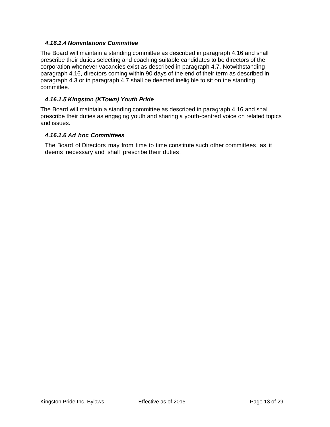## *4.16.1.4 Nomintations Committee*

The Board will maintain a standing committee as described in paragraph 4.16 and shall prescribe their duties selecting and coaching suitable candidates to be directors of the corporation whenever vacancies exist as described in paragraph 4.7. Notwithstanding paragraph 4.16, directors coming within 90 days of the end of their term as described in paragraph 4.3 or in paragraph 4.7 shall be deemed ineligible to sit on the standing committee.

## *4.16.1.5 Kingston (KTown) Youth Pride*

The Board will maintain a standing committee as described in paragraph 4.16 and shall prescribe their duties as engaging youth and sharing a youth-centred voice on related topics and issues.

## *4.16.1.6 Ad hoc Committees*

The Board of Directors may from time to time constitute such other committees, as it deems necessary and shall prescribe their duties.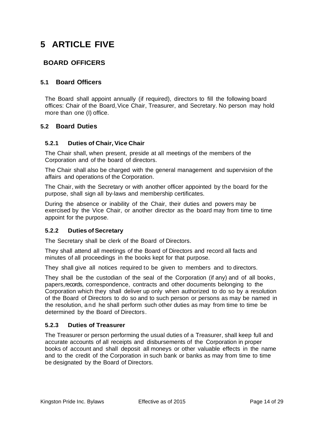# <span id="page-13-0"></span>**5 ARTICLE FIVE**

# **BOARD OFFICERS**

## <span id="page-13-1"></span>**5.1 Board Officers**

The Board shall appoint annually (if required), directors to fill the following board offices: Chair of the Board, Vice Chair, Treasurer, and Secretary. No person may hold more than one (I) office.

## <span id="page-13-2"></span>**5.2 Board Duties**

#### <span id="page-13-3"></span>**5.2.1 Duties of Chair, Vice Chair**

The Chair shall, when present, preside at all meetings of the members of the Corporation and of the board of directors.

The Chair shall also be charged with the general management and supervision of the affairs and operations of the Corporation.

The Chair, with the Secretary or with another officer appointed by the board for the purpose, shall sign all by-laws and membership certificates.

During the absence or inability of the Chair, their duties and powers may be exercised by the Vice Chair, or another director as the board may from time to time appoint for the purpose.

## <span id="page-13-4"></span>**5.2.2 Duties ofSecretary**

The Secretary shall be clerk of the Board of Directors.

They shall attend all meetings of the Board of Directors and record all facts and minutes of all proceedings in the books kept for that purpose.

They shall give all notices required to be given to members and to directors.

They shall be the custodian of the seal of the Corporation (if any) and of all books, papers,records, correspondence, contracts and other documents belonging to the Corporation which they shall deliver up only when authorized to do so by a resolution of the Board of Directors to do so and to such person or persons as may be named in the resolution, and he shall perform such other duties as may from time to time be determined by the Board of Directors.

## <span id="page-13-5"></span>**5.2.3 Duties of Treasurer**

The Treasurer or person performing the usual duties of a Treasurer, shall keep full and accurate accounts of all receipts and disbursements of the Corporation in proper books of account and shall deposit all moneys or other valuable effects in the name and to the credit of the Corporation in such bank or banks as may from time to time be designated by the Board of Directors.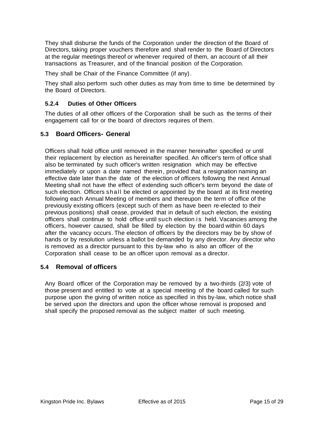They shall disburse the funds of the Corporation under the direction of the Board of Directors, taking proper vouchers therefore and shall render to the Board of Directors at the regular meetings thereof or whenever required of them, an account of all their transactions as Treasurer, and of the financial position of the Corporation.

They shall be Chair of the Finance Committee (if any).

They shall also perform such other duties as may from time to time be determined by the Board of Directors.

## <span id="page-14-0"></span>**5.2.4 Duties of Other Officers**

The duties of all other officers of the Corporation shall be such as the terms of their engagement call for or the board of directors requires of them.

## <span id="page-14-1"></span>**5.3 Board Officers- General**

Officers shall hold office until removed in the manner hereinafter specified or until their replacement by election as hereinafter specified. An officer's term of office shall also be terminated by such officer's written resignation which may be effective immediately or upon a date named therein, provided that a resignation naming an effective date later than the date of the election of officers following the next Annual Meeting shall not have the effect of extending such officer's term beyond the date of such election. Officers shall be elected or appointed by the board at its first meeting following each Annual Meeting of members and thereupon the term of office of the previously existing officers (except such of them as have been re-elected to their previous positions) shall cease, provided that in default of such election, the existing officers shall continue to hold office until such election is held. Vacancies among the officers, however caused, shall be filled by election by the board within 60 days after the vacancy occurs. The election of officers by the directors may be by show of hands or by resolution unless a ballot be demanded by any director. Any director who is removed as a director pursuant to this by-law who is also an officer of the Corporation shall cease to be an officer upon removal as a director.

## <span id="page-14-2"></span>**5.4 Removal of officers**

Any Board officer of the Corporation may be removed by a two-thirds (2/3) vote of those present and entitled to vote at a special meeting of the board called for such purpose upon the giving of written notice as specified in this by-law, which notice shall be served upon the directors and upon the officer whose removal is proposed and shall specify the proposed removal as the subject matter of such meeting.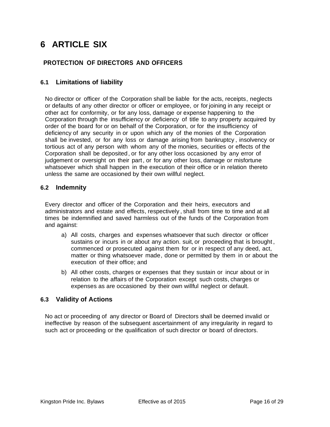# <span id="page-15-0"></span>**6 ARTICLE SIX**

## **PROTECTION OF DIRECTORS AND OFFICERS**

## <span id="page-15-1"></span>**6.1 Limitations of liability**

No director or officer of the Corporation shall be liable for the acts, receipts, neglects or defaults of any other director or officer or employee, or for joining in any receipt or other act for conformity, or for any loss, damage or expense happening to the Corporation through the insufficiency or deficiency of title to any property acquired by order of the board for or on behalf of the Corporation, or for the insufficiency of deficiency of any security in or upon which any of the monies of the Corporation shall be invested, or for any loss or damage arising from bankruptcy , insolvency or tortious act of any person with whom any of the monies, securities or effects of the Corporation shall be deposited, or for any other loss occasioned by any error of judgement or oversight on their part, or for any other loss, damage or misfortune whatsoever which shall happen in the execution of their office or in relation thereto unless the same are occasioned by their own willful neglect.

## <span id="page-15-2"></span>**6.2 Indemnity**

Every director and officer of the Corporation and their heirs, executors and administrators and estate and effects, respectively , shall from time to time and at all times be indemnified and saved harmless out of the funds of the Corporation from and against:

- a) All costs, charges and expenses whatsoever that such director or officer sustains or incurs in or about any action. suit, or proceeding that is brought , commenced or prosecuted against them for or in respect of any deed, act, matter or thing whatsoever made, done or permitted by them in or about the execution of their office; and
- b) All other costs, charges or expenses that they sustain or incur about or in relation to the affairs of the Corporation except such costs, charges or expenses as are occasioned by their own willful neglect or default.

## <span id="page-15-3"></span>**6.3 Validity of Actions**

No act or proceeding of any director or Board of Directors shall be deemed invalid or ineffective by reason of the subsequent ascertainment of any irregularity in regard to such act or proceeding or the qualification of such director or board of directors.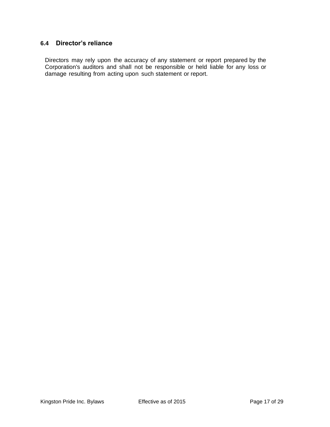# <span id="page-16-0"></span>**6.4 Director's reliance**

Directors may rely upon the accuracy of any statement or report prepared by the Corporation's auditors and shall not be responsible or held liable for any loss or damage resulting from acting upon such statement or report.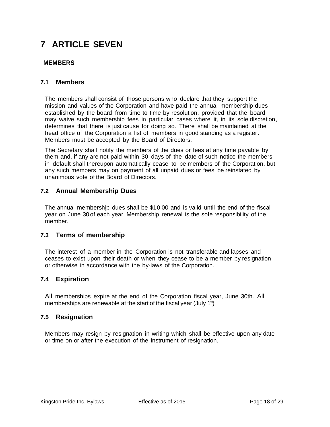# <span id="page-17-0"></span>**7 ARTICLE SEVEN**

## **MEMBERS**

## <span id="page-17-1"></span>**7.1 Members**

The members shall consist of those persons who declare that they support the mission and values of the Corporation and have paid the annual membership dues established by the board from time to time by resolution, provided that the board may waive such membership fees in particular cases where it, in its sole discretion, determines that there is just cause for doing so. There shall be maintained at the head office of the Corporation a list of members in good standing as a register. Members must be accepted by the Board of Directors.

The Secretary shall notify the members of the dues or fees at any time payable by them and, if any are not paid within 30 days of the date of such notice the members in default shall thereupon automatically cease to be members of the Corporation, but any such members may on payment of all unpaid dues or fees be reinstated by unanimous vote of the Board of Directors.

## <span id="page-17-2"></span>**7.2 Annual Membership Dues**

year on June 30 of each year. Membership renewal is the sole responsibility of the The annual membership dues shall be \$10.00 and is valid until the end of the fiscal member.

## <span id="page-17-3"></span>**7.3 Terms of membership**

The interest of a member in the Corporation is not transferable and lapses and ceases to exist upon their death or when they cease to be a member by resignation or otherwise in accordance with the by-laws of the Corporation.

## <span id="page-17-4"></span>**7.4 Expiration**

All memberships expire at the end of the Corporation fiscal year, June 30th. All<br>memberships are renoughle at the start of the fiscal year (luly 43) memberships are renewable at the start of the fiscal year (July 1<sup>st</sup>)

#### <span id="page-17-5"></span>**7.5 Resignation**

Members may resign by resignation in writing which shall be effective upon any date or time on or after the execution of the instrument of resignation.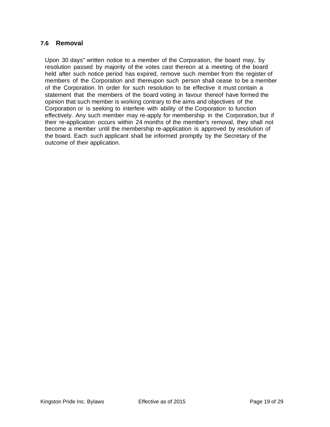## <span id="page-18-0"></span>**7.6 Removal**

Upon 30 days" written notice to a member of the Corporation, the board may, by resolution passed by majority of the votes cast thereon at a meeting of the board held after such notice period has expired, remove such member from the register of members of the Corporation and thereupon such person shall cease to be a member of the Corporation. In order for such resolution to be effective it must contain a statement that the members of the board voting in favour thereof have formed the opinion that such member is working contrary to the aims and objectives of the Corporation or is seeking to interfere with ability of the Corporation to function effectively. Any such member may re-apply for membership in the Corporation, but if their re-application occurs within 24 months of the member's removal, they shall not become a member until the membership re-application is approved by resolution of the board. Each such applicant shall be informed promptly by the Secretary of the outcome of their application.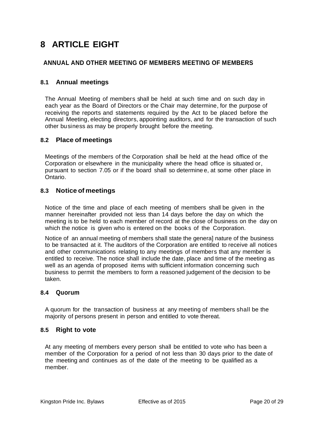# <span id="page-19-0"></span>**8 ARTICLE EIGHT**

## **ANNUAL AND OTHER MEETING OF MEMBERS MEETING OF MEMBERS**

## <span id="page-19-1"></span>**8.1 Annual meetings**

The Annual Meeting of members shall be held at such time and on such day in each year as the Board of Directors or the Chair may determine, for the purpose of receiving the reports and statements required by the Act to be placed before the Annual Meeting, electing directors, appointing auditors, and for the transaction of such other business as may be properly brought before the meeting.

## <span id="page-19-2"></span>**8.2 Place of meetings**

Meetings of the members of the Corporation shall be held at the head office of the Corporation or elsewhere in the municipality where the head office is situated or, pursuant to section 7.05 or if the board shall so determine e, at some other place in Ontario.

## <span id="page-19-3"></span>**8.3 Notice of meetings**

Notice of the time and place of each meeting of members shall be given in the manner hereinafter provided not less than 14 days before the day on which the meeting is to be held to each member of record at the close of business on the day on which the notice is given who is entered on the books of the Corporation.

Notice of an annual meeting of members shall state the genera] nature of the business to be transacted at it. The auditors of the Corporation are entitled to receive all notices and other communications relating to any meetings of members that any member is entitled to receive. The notice shall include the date, place and time of the meeting as well as an agenda of proposed items with sufficient information concerning such business to permit the members to form a reasoned judgement of the decision to be taken.

#### <span id="page-19-4"></span>**8.4 Quorum**

A quorum for the transaction of business at any meeting of members shall be the majority of persons present in person and entitled to vote thereat.

#### <span id="page-19-5"></span>**8.5 Right to vote**

At any meeting of members every person shall be entitled to vote who has been a member of the Corporation for a period of not less than 30 days prior to the date of the meeting and continues as of the date of the meeting to be qualified as a member.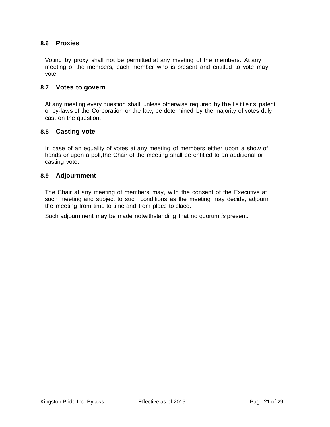#### <span id="page-20-0"></span>**8.6 Proxies**

Voting by proxy shall not be permitted at any meeting of the members. At any meeting of the members, each member who is present and entitled to vote may vote.

#### <span id="page-20-1"></span>**8.7 Votes to govern**

At any meeting every question shall, unless otherwise required by the letters patent or by-laws of the Corporation or the law, be determined by the majority of votes duly cast on the question.

#### <span id="page-20-2"></span>**8.8 Casting vote**

In case of an equality of votes at any meeting of members either upon a show of hands or upon a poll, the Chair of the meeting shall be entitled to an additional or casting vote.

#### <span id="page-20-3"></span>**8.9 Adjournment**

The Chair at any meeting of members may, with the consent of the Executive at such meeting and subject to such conditions as the meeting may decide, adjourn the meeting from time to time and from place to place.

Such adjournment may be made notwithstanding that no quorum *is* present.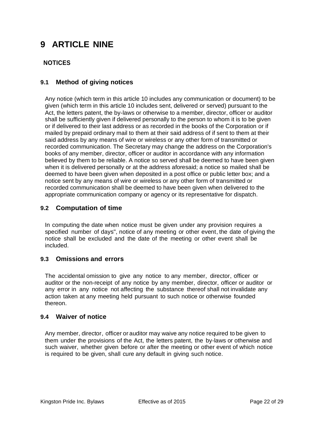# <span id="page-21-0"></span>**9 ARTICLE NINE**

## **NOTICES**

## <span id="page-21-1"></span>**9.1 Method of giving notices**

Any notice (which term in this article 10 includes any communication or document) to be given (which term in this article 10 includes sent, delivered or served) pursuant to the Act, the letters patent, the by-laws or otherwise to a member, director, officer or auditor shall be sufficiently given if delivered personally to the person to whom it is to be given or if delivered to their last address or as recorded in the books of the Corporation or if mailed by prepaid ordinary mail to them at their said address of if sent to them at their said address by any means of wire or wireless or any other form of transmitted or recorded communication. The Secretary may change the address on the Corporation's books of any member, director, officer or auditor in accordance with any information believed by them to be reliable. A notice so served shall be deemed to have been given when it is delivered personally or at the address aforesaid; a notice so mailed shall be deemed to have been given when deposited in a post office or public letter box; and a notice sent by any means of wire or wireless or any other form of transmitted or recorded communication shall be deemed to have been given when delivered to the appropriate communication company or agency or its representative for dispatch.

## <span id="page-21-2"></span>**9.2 Computation of time**

In computing the date when notice must be given under any provision requires a specified number of days", notice of any meeting or other event, the date of giving the notice shall be excluded and the date of the meeting or other event shall be included.

## <span id="page-21-3"></span>**9.3 Omissions and errors**

The accidental omission to give any notice to any member, director, officer or auditor or the non-receipt of any notice by any member, director, officer or auditor or any error in any notice not affecting the substance thereof shall not invalidate any action taken at any meeting held pursuant to such notice or otherwise founded thereon.

## <span id="page-21-4"></span>**9.4 Waiver of notice**

Any member, director, officer or auditor may waive any notice required to be given to them under the provisions of the Act, the letters patent, the by-laws or otherwise and such waiver, whether given before or after the meeting or other event of which notice is required to be given, shall cure any default in giving such notice.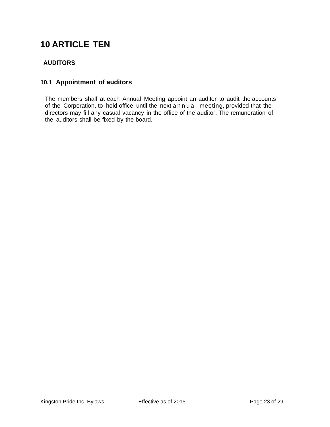# <span id="page-22-0"></span>**10 ARTICLE TEN**

# **AUDITORS**

## <span id="page-22-1"></span>**10.1 Appointment of auditors**

The members shall at each Annual Meeting appoint an auditor to audit the accounts of the Corporation, to hold office until the next annual meeting, provided that the directors may fill any casual vacancy in the office of the auditor. The remuneration of the auditors shall be fixed by the board.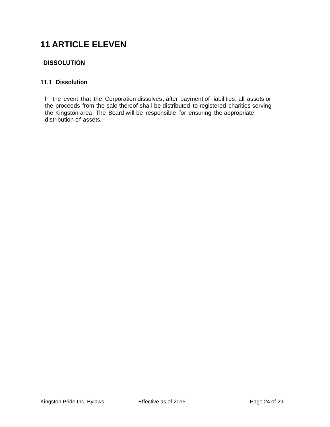# <span id="page-23-0"></span>**11 ARTICLE ELEVEN**

## **DISSOLUTION**

## <span id="page-23-1"></span>**11.1 Dissolution**

ln the event that the Corporation dissolves, after payment of liabilities, all assets or the proceeds from the sale thereof shall be distributed to registered charities serving the Kingston area. The Board will be responsible for ensuring the appropriate distribution of assets.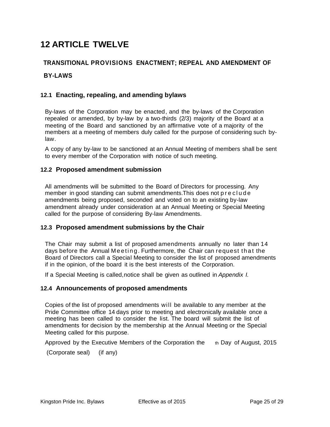# <span id="page-24-0"></span>**12 ARTICLE TWELVE**

## **TRANSITIONAL PROVISIONS ENACTMENT; REPEAL AND AMENDMENT OF**

## **BY-LAWS**

## <span id="page-24-1"></span>**12.1 Enacting, repealing, and amending bylaws**

By-laws of the Corporation may be enacted, and the by-laws of the Corporation repealed or amended, by by-law by a two-thirds (2/3) majority of the Board at a meeting of the Board and sanctioned by an affirmative vote of a majority of the members at a meeting of members duly called for the purpose of considering such bylaw.

A copy of any by-law to be sanctioned at an Annual Meeting of members shall be sent to every member of the Corporation with notice of such meeting.

#### <span id="page-24-2"></span>**12.2 Proposed amendment submission**

All amendments will be submitted to the Board of Directors for processing. Any member in good standing can submit amendments. This does not p r e c l u d e amendments being proposed, seconded and voted on to an existing by-law amendment already under consideration at an Annual Meeting or Special Meeting called for the purpose of considering By-law Amendments.

## <span id="page-24-3"></span>**12.3 Proposed amendment submissions by the Chair**

The Chair may submit a list of proposed amendments annually no later than 14 days before the Annual Meeting. Furthermore, the Chair can request that the Board of Directors call a Special Meeting to consider the list of proposed amendments if in the opinion, of the board it is the best interests of the Corporation.

If a Special Meeting is called,notice shall be given as outlined in *Appendix I.*

#### <span id="page-24-4"></span>**12.4 Announcements of proposed amendments**

Copies of the list of proposed amendments will be available to any member at the Pride Committee office 14 days prior to meeting and electronically available once a meeting has been called to consider the list. The board will submit the list of amendments for decision by the membership at the Annual Meeting or the Special Meeting called for this purpose.

Approved by the Executive Members of the Corporation the  $\theta$  th Day of August, 2015

(Corporate seal) (if any)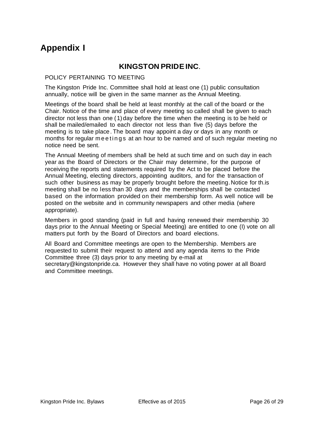# <span id="page-25-0"></span>**Appendix I**

## **KINGSTON PRIDEINC**.

#### POLICY PERTAINING TO MEETING

The Kingston Pride Inc. Committee shall hold at least one (1) public consultation annually, notice will be given in the same manner as the Annual Meeting.

Meetings of the board shall be held at least monthly at the call of the board or the Chair. Notice of the time and place of every meeting so called shall be given to each director not less than one (1) day before the time when the meeting is to be held or shall be mailed/emailed to each director not less than five (5) days before the meeting is to take place. The board may appoint a day or days in any month or months for regular meetings at an hour to be named and of such regular meeting no notice need be sent.

The Annual Meeting of members shall be held at such time and on such day in each year as the Board of Directors or the Chair may determine, for the purpose of receiving the reports and statements required by the Act to be placed before the Annual Meeting, electing directors, appointing auditors, and for the transaction of such other business as may be properly brought before the meeting.Notice for th.is meeting shall be no less than 30 days and the memberships shall be contacted based on the information provided on their membership form. As well notice will be posted on the website and in community newspapers and other media (where appropriate).

Members in good standing (paid in full and having renewed their membership 30 days prior to the Annual Meeting or Special Meeting) are entitled to one (I) vote on all matters put forth by the Board of Directors and board elections.

All Board and Committee meetings are open to the Membership. Members are requested to submit their request to attend and any agenda items to the Pride Committee three (3) days prior to any meeting by e-mail at secretary@kingstonpride.ca. However they shall have no voting power at all Board and Committee meetings.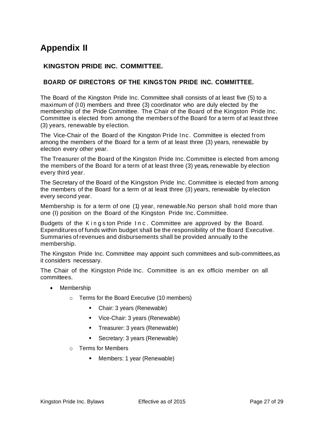# <span id="page-26-0"></span>**Appendix II**

## **KINGSTON PRIDE INC. COMMITTEE.**

## **BOARD OF DIRECTORS OF THE KINGSTON PRIDE INC. COMMITTEE.**

The Board of the Kingston Pride Inc. Committee shall consists of at least five (5) to a maximum of (I 0) members and three (3) coordinator who are duly elected by the membership of the Pride Committee. The Chair of the Board of the Kingston Pride Inc. Committee is elected from among the member s of the Board for a term of at least three (3) years, renewable by election.

The Vice-Chair of the Board of the Kingston Pride Inc. Committee is elected from among the members of the Board for a term of at least three (3) years, renewable by election every other year.

The Treasurer of the Board of the Kingston Pride Inc.Committee is elected from among the members of the Board for a term of at least three (3) years, renewable by election every third year.

The Secretary of the Board of the Kingston Pride Inc. Committee is elected from among the members of the Board for a term of at least three (3) years, renewable by election every second year.

Membership is for a term of one (1) year, renewable. No person shall hold more than one (I) position on the Board of the Kingston Pride Inc. Committee.

Budgets of the Kingston Pride Inc. Committee are approved by the Board. Expenditures of funds within budget shall be the responsibility of the Board Executive. Summaries of revenues and disbursements shall be provided annually to the membership.

The Kingston Pride Inc. Committee may appoint such committees and sub-committees,as it considers necessary.

The Chair of the Kingston Pride Inc. Committee is an ex officio member on all committees.

- Membership
	- o Terms for the Board Executive (10 members)
		- Chair: 3 years (Renewable)
		- Vice-Chair: 3 years (Renewable)
		- Treasurer: 3 years (Renewable)
		- Secretary: 3 years (Renewable)
	- o Terms for Members
		- Members: 1 year (Renewable)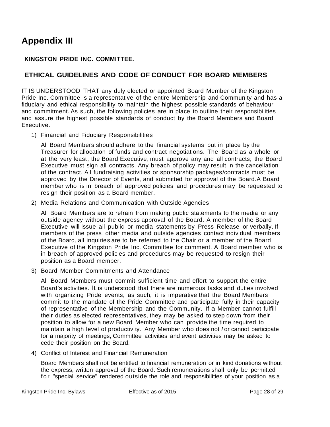# <span id="page-27-0"></span>**Appendix III**

# **KINGSTON PRIDE INC. COMMITTEE.**

## **ETHICAL GUIDELINES AND CODE OF CONDUCT FOR BOARD MEMBERS**

IT IS UNDERSTOOD THAT any duly elected or appointed Board Member of the Kingston Pride Inc. Committee is a representative of the entire Membership and Community and has a fiduciary and ethical responsibility to maintain the highest possible standards of behaviour and commitment. As such, the following policies are in place to outline their responsibilities and assure the highest possible standards of conduct by the Board Members and Board Executive.

1) Financial and Fiduciary Responsibilities

All Board Members should adhere to the financial systems put in place by the Treasurer for allocation of funds and contract negotiations. The Board as a whole or at the very least, the Board Executive, must approve any and all contracts; the Board Executive must sign all contracts. Any breach of policy may result in the cancellation of the contract. All fundraising activities or sponsorship packages/contracts must be approved by the Director of Events, and submitted for approval of the Board. A Board member who is in breach of approved policies and procedures may be requested to resign their position as a Board member.

2) Media Relations and Communication with Outside Agencies

All Board Members are to refrain from making public statements to the media or any outside agency without the express approval of the Board. A member of the Board Executive will issue all public or media statements by Press Release or verbally. If members of the press, other media and outside agencies contact individual members of the Board, all inquiries are to be referred to the Chair or a member of the Board Executive of the Kingston Pride Inc. Committee for comment. A Board member who is in breach of approved policies and procedures may be requested to resign their position as a Board member.

3) Board Member Commitments and Attendance

All Board Members must commit sufficient time and effort to support the entire Board's activities. It is understood that there are numerous tasks and duties involved with organizing Pride events, as such, it is imperative that the Board Members commit to the mandate of the Pride Committee and participate fully in their capacity of representative of the Membership and the Community. If a Member cannot fulfill their duties as elected representatives, they may be asked to step down from their position to allow for a new Board Member who can provide the time required to maintain a high level of productivity. Any Member who does not *I* or cannot participate for a majority of meetings, Committee activities and event activities may be asked to cede their position on the Board.

4) Conflict of Interest and Financial Remuneration

Board Members shall not be entitled to financial remuneration or in kind donations without the express, written approval of the Board. Such remunerations shall only be permitted for "special service" rendered outside the role and responsibilities of your position as a